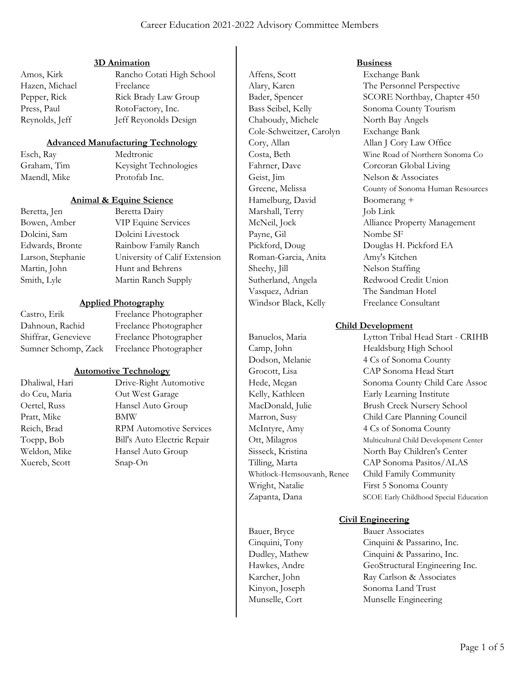### 3D Animation

Hazen, Michael Freelance Press, Paul RotoFactory, Inc. Reynolds, Jeff **Internal Accept** Jeff Reyonolds Design

# Amos, Kirk Rancho Cotati High School Pepper, Rick Rick Brady Law Group

# Advanced Manufacturing Technology

Esch, Ray Medtronic Graham, Tim Keysight Technologies Maendl, Mike Protofab Inc.

# Animal & Equine Science

Beretta, Jen Beretta Dairy Bowen, Amber VIP Equine Services Dolcini, Sam Dolcini Livestock Edwards, Bronte Rainbow Family Ranch Larson, Stephanie University of Calif Extension Martin, John Hunt and Behrens Smith, Lyle Martin Ranch Supply

### Applied Photography

Castro, Erik Freelance Photographer Dahnoun, Rachid Freelance Photographer Shiffrar, Genevieve Freelance Photographer Sumner Schomp, Zack Freelance Photographer

#### Automotive Technology

Pratt, Mike BMW Xuereb, Scott Snap-On

Dhaliwal, Hari Drive-Right Automotive do Ceu, Maria Out West Garage Oertel, Russ Hansel Auto Group Reich, Brad RPM Automotive Services Toepp, Bob Bill's Auto Electric Repair Weldon, Mike Hansel Auto Group

Affens, Scott Exchange Bank Chaboudy, Michele North Bay Angels Cole-Schweitzer, Carolyn Exchange Bank Cory, Allan Allan J Cory Law Office Fahrner, Dave Corcoran Global Living Geist, Jim Nelson & Associates Hamelburg, David Boomerang + Marshall, Terry Job Link Payne, Gil Nombe SF Roman-Garcia, Anita Amy's Kitchen Sheehy, Jill Nelson Staffing Sutherland, Angela Redwood Credit Union Vasquez, Adrian The Sandman Hotel

Wright, Natalie First 5 Sonoma County

#### **Business**

Alary, Karen The Personnel Perspective Bader, Spencer SCORE Northbay, Chapter 450 Bass Seibel, Kelly Sonoma County Tourism Costa, Beth Wine Road of Northern Sonoma Co Greene, Melissa County of Sonoma Human Resources McNeil, Jock Alliance Property Management Pickford, Doug Douglas H. Pickford EA Windsor Black, Kelly Freelance Consultant

#### Child Development

Banuelos, Maria Lytton Tribal Head Start - CRIHB Camp, John Healdsburg High School Dodson, Melanie 4 Cs of Sonoma County Grocott, Lisa CAP Sonoma Head Start Hede, Megan Sonoma County Child Care Assoc Kelly, Kathleen Early Learning Institute MacDonald, Julie Brush Creek Nursery School Marron, Susy Child Care Planning Council McIntyre, Amy 4 Cs of Sonoma County Ott, Milagros Multicultural Child Development Center Sisseck, Kristina North Bay Children's Center Tilling, Marta CAP Sonoma Pasitos/ALAS Whitlock-Hemsouvanh, Renee Child Family Community Zapanta, Dana SCOE Early Childhood Special Education

#### Civil Engineering

Bauer, Bryce Bauer Associates Cinquini, Tony Cinquini & Passarino, Inc. Dudley, Mathew Cinquini & Passarino, Inc. Hawkes, Andre GeoStructural Engineering Inc. Karcher, John Ray Carlson & Associates Kinyon, Joseph Sonoma Land Trust Munselle, Cort Munselle Engineering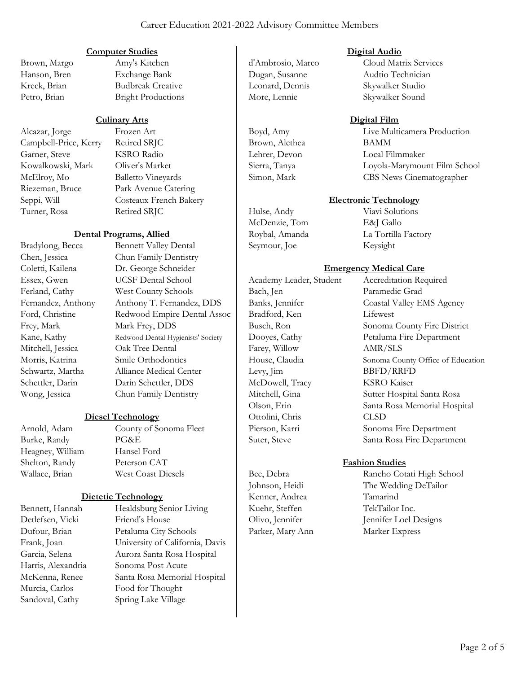#### Computer Studies

Brown, Margo Amy's Kitchen Hanson, Bren Exchange Bank Kreck, Brian Budbreak Creative Petro, Brian Bright Productions

#### Culinary Arts

Alcazar, Jorge Frozen Art Campbell-Price, Kerry Retired SRJC Garner, Steve KSRO Radio Kowalkowski, Mark Oliver's Market McElroy, Mo Balletto Vineyards Turner, Rosa Retired SRJC

Riezeman, Bruce Park Avenue Catering Seppi, Will Costeaux French Bakery

#### Dental Programs, Allied

Bradylong, Becca Bennett Valley Dental Chen, Jessica Chun Family Dentistry Coletti, Kailena Dr. George Schneider Essex, Gwen UCSF Dental School Ferland, Cathy West County Schools Fernandez, Anthony Anthony T. Fernandez, DDS Ford, Christine Redwood Empire Dental Assoc Frey, Mark Mark Frey, DDS Kane, Kathy Redwood Dental Hygienists' Society Mitchell, Jessica Oak Tree Dental Morris, Katrina Smile Orthodontics Schwartz, Martha Alliance Medical Center Schettler, Darin Darin Schettler, DDS Wong, Jessica Chun Family Dentistry

#### Diesel Technology

Burke, Randy PG&E Heagney, William Hansel Ford Shelton, Randy Peterson CAT

Arnold, Adam County of Sonoma Fleet Wallace, Brian West Coast Diesels

# Dietetic Technology

Detlefsen, Vicki Friend's House

Bennett, Hannah Healdsburg Senior Living Dufour, Brian Petaluma City Schools Frank, Joan University of California, Davis Garcia, Selena Aurora Santa Rosa Hospital Harris, Alexandria Sonoma Post Acute McKenna, Renee Santa Rosa Memorial Hospital Murcia, Carlos Food for Thought Sandoval, Cathy Spring Lake Village

Leonard, Dennis Skywalker Studio More, Lennie Skywalker Sound

Brown, Alethea BAMM

Hulse, Andy Viavi Solutions McDenzie, Tom E&J Gallo Seymour, Joe Keysight

Digital Audio

d'Ambrosio, Marco Cloud Matrix Services Dugan, Susanne Audtio Technician

#### Digital Film

Boyd, Amy Live Multicamera Production Lehrer, Devon Local Filmmaker Sierra, Tanya Loyola-Marymount Film School Simon, Mark CBS News Cinematographer

# Electronic Technology

Roybal, Amanda La Tortilla Factory

# Emergency Medical Care

Academy Leader, Student Accreditation Required Bach, Jen Paramedic Grad Banks, Jennifer Coastal Valley EMS Agency Bradford, Ken Lifewest Busch, Ron Sonoma County Fire District Farey, Willow AMR/SLS Levy, Jim BBFD/RRFD McDowell, Tracy KSRO Kaiser Ottolini, Chris CLSD

Dooyes, Cathy Petaluma Fire Department House, Claudia Sonoma County Office of Education Mitchell, Gina Sutter Hospital Santa Rosa Olson, Erin Santa Rosa Memorial Hospital Pierson, Karri Sonoma Fire Department Suter, Steve Santa Rosa Fire Department

# Fashion Studies

Bee, Debra Rancho Cotati High School Johnson, Heidi The Wedding DeTailor Kenner, Andrea Tamarind Kuehr, Steffen TekTailor Inc. Olivo, Jennifer Jennifer Loel Designs Parker, Mary Ann Marker Express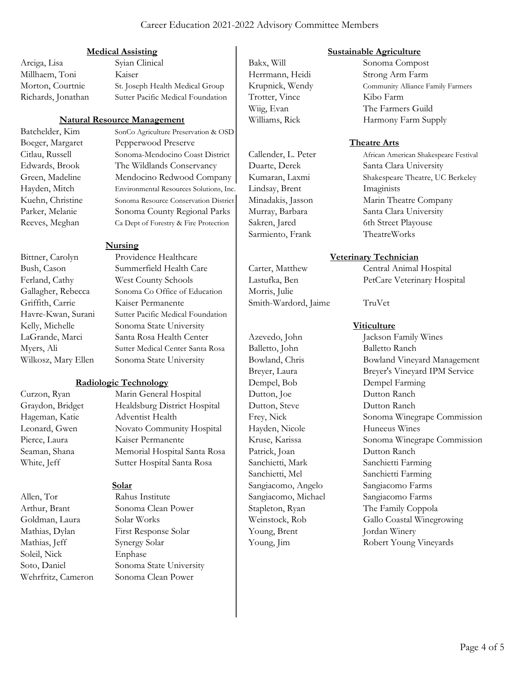### Career Education 2021-2022 Advisory Committee Members

#### Medical Assisting

Arciga, Lisa Syian Clinical Millhaem, Toni Kaiser Morton, Courtnie St. Joseph Health Medical Group Richards, Jonathan Sutter Pacific Medical Foundation

#### Natural Resource Management

Batchelder, Kim SonCo Agriculture Preservation & OSD Boeger, Margaret Pepperwood Preserve Citlau, Russell Sonoma-Mendocino Coast District Edwards, Brook The Wildlands Conservancy Green, Madeline Mendocino Redwood Company Hayden, Mitch Environmental Resources Solutions, Inc . Kuehn, Christine Sonoma Resource Conservation District Parker, Melanie Sonoma County Regional Parks Reeves, Meghan Ca Dept of Forestry & Fire Protection

#### Nursing

Bittner, Carolyn Providence Healthcare Bush, Cason Summerfield Health Care Ferland, Cathy West County Schools Gallagher, Rebecca Sonoma Co Office of Education Griffith, Carrie Kaiser Permanente Havre-Kwan, Surani Sutter Pacific Medical Foundation Kelly, Michelle Sonoma State University LaGrande, Marci Santa Rosa Health Center Myers, Ali Sutter Medical Center Santa Rosa Wilkosz, Mary Ellen Sonoma State University

#### Radiologic Technology

- 
- Allen, Tor Rahus Institute Goldman, Laura Solar Works Mathias, Jeff Synergy Solar Soleil, Nick Enphase

Curzon, Ryan Marin General Hospital Graydon, Bridget Healdsburg District Hospital Hageman, Katie Adventist Health Leonard, Gwen Novato Community Hospital Pierce, Laura Kaiser Permanente Seaman, Shana Memorial Hospital Santa Rosa White, Jeff Sutter Hospital Santa Rosa

#### Solar

Arthur, Brant Sonoma Clean Power Mathias, Dylan First Response Solar Soto, Daniel Sonoma State University Wehrfritz, Cameron Sonoma Clean Power

Trotter, Vince Kibo Farm

Lindsay, Brent Imaginists Sarmiento, Frank TheatreWorks

Morris, Julie Smith-Wardord, Jaime TruVet

Balletto, John Balletto Ranch Dempel, Bob Dempel Farming Dutton, Joe Dutton Ranch Dutton, Steve Dutton Ranch Hayden, Nicole Huneeus Wines Patrick, Joan Dutton Ranch Sanchietti, Mark Sanchietti Farming Sanchietti, Mel Sanchietti Farming Sangiacomo, Angelo Sangiacomo Farms Sangiacomo, Michael Sangiacomo Farms Young, Brent Jordan Winery

#### Sustainable Agriculture

Bakx, Will Sonoma Compost Herrmann, Heidi Strong Arm Farm Krupnick, Wendy Community Alliance Family Farmers Wiig, Evan The Farmers Guild Williams, Rick Harmony Farm Supply

#### Theatre Arts

Callender, L. Peter African American Shakespeare Festival Duarte, Derek Santa Clara University Kumaran, Laxmi Shakespeare Theatre, UC Berkeley Minadakis, Jasson Marin Theatre Company Murray, Barbara Santa Clara University Sakren, Jared 6th Street Playouse

# Veterinary Technician

Carter, Matthew Central Animal Hospital Lastufka, Ben PetCare Veterinary Hospital

### **Viticulture**

Azevedo, John Jackson Family Wines Bowland, Chris Bowland Vineyard Management Breyer, Laura Breyer's Vineyard IPM Service Frey, Nick Sonoma Winegrape Commission Kruse, Karissa Sonoma Winegrape Commission Stapleton, Ryan The Family Coppola Weinstock, Rob Gallo Coastal Winegrowing Young, Jim Robert Young Vineyards